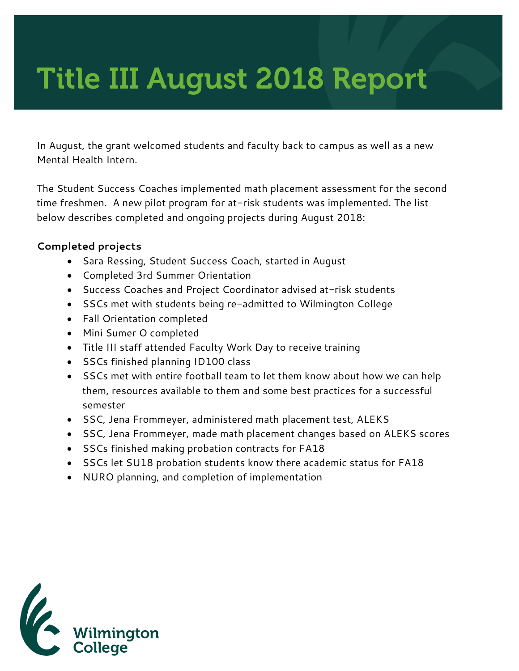# Title III August 2018 Report

In August, the grant welcomed students and faculty back to campus as well as a new Mental Health Intern.

The Student Success Coaches implemented math placement assessment for the second time freshmen. A new pilot program for at-risk students was implemented. The list below describes completed and ongoing projects during August 2018:

#### **Completed projects**

- Sara Ressing, Student Success Coach, started in August
- Completed 3rd Summer Orientation
- Success Coaches and Project Coordinator advised at-risk students
- SSCs met with students being re-admitted to Wilmington College
- Fall Orientation completed
- Mini Sumer O completed
- Title III staff attended Faculty Work Day to receive training
- SSCs finished planning ID100 class
- SSCs met with entire football team to let them know about how we can help them, resources available to them and some best practices for a successful semester
- SSC, Jena Frommeyer, administered math placement test, ALEKS
- SSC, Jena Frommeyer, made math placement changes based on ALEKS scores
- SSCs finished making probation contracts for FA18
- SSCs let SU18 probation students know there academic status for FA18
- NURO planning, and completion of implementation

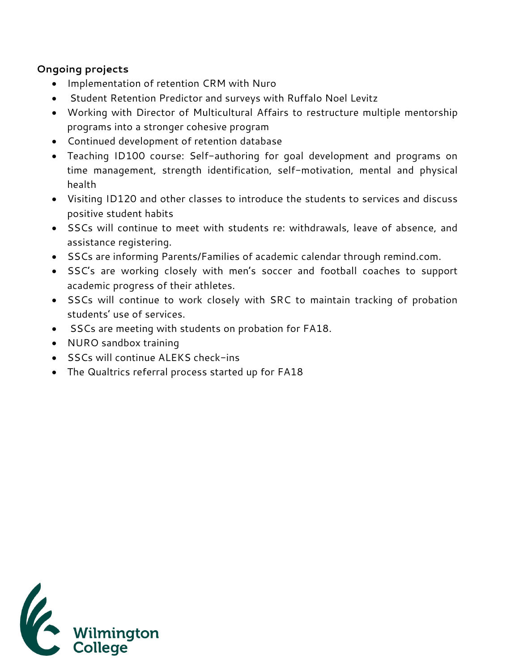#### **Ongoing projects**

- Implementation of retention CRM with Nuro
- Student Retention Predictor and surveys with Ruffalo Noel Levitz
- Working with Director of Multicultural Affairs to restructure multiple mentorship programs into a stronger cohesive program
- Continued development of retention database
- Teaching ID100 course: Self-authoring for goal development and programs on time management, strength identification, self-motivation, mental and physical health
- Visiting ID120 and other classes to introduce the students to services and discuss positive student habits
- SSCs will continue to meet with students re: withdrawals, leave of absence, and assistance registering.
- SSCs are informing Parents/Families of academic calendar through remind.com.
- SSC's are working closely with men's soccer and football coaches to support academic progress of their athletes.
- SSCs will continue to work closely with SRC to maintain tracking of probation students' use of services.
- SSCs are meeting with students on probation for FA18.
- NURO sandbox training
- SSCs will continue ALEKS check-ins
- The Qualtrics referral process started up for FA18

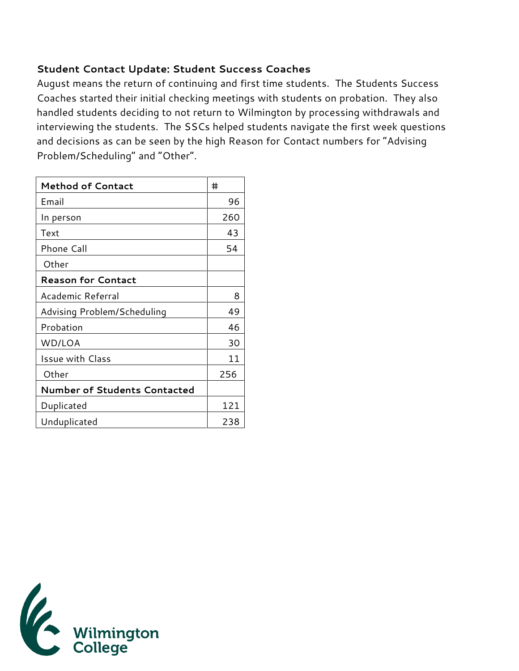### **Student Contact Update: Student Success Coaches**

August means the return of continuing and first time students. The Students Success Coaches started their initial checking meetings with students on probation. They also handled students deciding to not return to Wilmington by processing withdrawals and interviewing the students. The SSCs helped students navigate the first week questions and decisions as can be seen by the high Reason for Contact numbers for "Advising Problem/Scheduling" and "Other".

| <b>Method of Contact</b>            | #   |
|-------------------------------------|-----|
| Email                               | 96  |
| In person                           | 260 |
| Text                                | 43  |
| <b>Phone Call</b>                   | 54  |
| Other                               |     |
| <b>Reason for Contact</b>           |     |
| Academic Referral                   | 8   |
| Advising Problem/Scheduling         | 49  |
| Probation                           | 46  |
| WD/LOA                              | 30  |
| <b>Issue with Class</b>             | 11  |
| Other                               | 256 |
| <b>Number of Students Contacted</b> |     |
| Duplicated                          | 121 |
| Unduplicated                        | 238 |